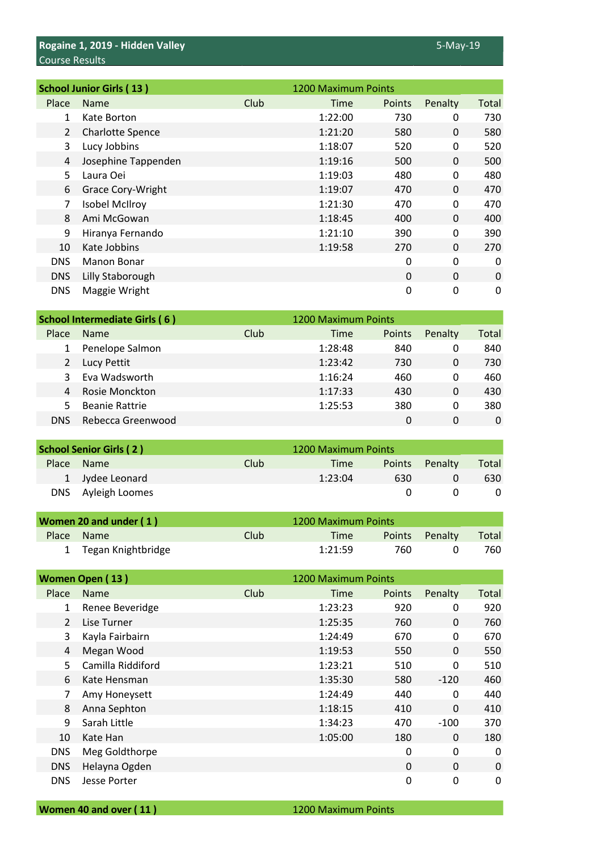|                | <b>School Junior Girls (13)</b> |      | 1200 Maximum Points |        |              |           |
|----------------|---------------------------------|------|---------------------|--------|--------------|-----------|
| Place          | Name                            | Club | Time                | Points | Penalty      | Total     |
| 1              | Kate Borton                     |      | 1:22:00             | 730    | 0            | 730       |
| $\overline{2}$ | <b>Charlotte Spence</b>         |      | 1:21:20             | 580    | 0            | 580       |
| 3              | Lucy Jobbins                    |      | 1:18:07             | 520    | $\mathbf{0}$ | 520       |
| 4              | Josephine Tappenden             |      | 1:19:16             | 500    | 0            | 500       |
| 5              | Laura Oei                       |      | 1:19:03             | 480    | 0            | 480       |
| 6              | <b>Grace Cory-Wright</b>        |      | 1:19:07             | 470    | 0            | 470       |
| 7              | Isobel McIlroy                  |      | 1:21:30             | 470    | $\mathbf{0}$ | 470       |
| 8              | Ami McGowan                     |      | 1:18:45             | 400    | 0            | 400       |
| 9              | Hiranya Fernando                |      | 1:21:10             | 390    | $\mathbf{0}$ | 390       |
| 10             | Kate Jobbins                    |      | 1:19:58             | 270    | 0            | 270       |
| <b>DNS</b>     | Manon Bonar                     |      |                     | 0      | $\mathbf{0}$ | 0         |
| <b>DNS</b>     | Lilly Staborough                |      |                     | 0      | 0            | $\pmb{0}$ |
| <b>DNS</b>     | Maggie Wright                   |      |                     | 0      | 0            | 0         |

|                | <b>School Intermediate Girls (6)</b> |      | 1200 Maximum Points |               |         |       |
|----------------|--------------------------------------|------|---------------------|---------------|---------|-------|
| Place          | <b>Name</b>                          | Club | Time                | <b>Points</b> | Penalty | Total |
|                | Penelope Salmon                      |      | 1:28:48             | 840           | 0       | 840   |
|                | Lucy Pettit                          |      | 1:23:42             | 730           | 0       | 730   |
| 3.             | Eva Wadsworth                        |      | 1:16:24             | 460           | 0       | 460   |
| $\overline{4}$ | Rosie Monckton                       |      | 1:17:33             | 430           | 0       | 430   |
| 5.             | <b>Beanie Rattrie</b>                |      | 1:25:53             | 380           | 0       | 380   |
| <b>DNS</b>     | Rebecca Greenwood                    |      |                     | 0             | 0       | 0     |
|                |                                      |      |                     |               |         |       |

| <b>School Senior Girls (2)</b> |                    | 1200 Maximum Points |         |               |         |       |
|--------------------------------|--------------------|---------------------|---------|---------------|---------|-------|
| Place                          | <b>Name</b>        | Club                | Time    | <b>Points</b> | Penalty | Total |
|                                | 1 Jydee Leonard    |                     | 1:23:04 | 630           |         | 630   |
|                                | DNS Ayleigh Loomes |                     |         |               |         |       |

| Women 20 and under (1) |                      |             | 1200 Maximum Points |      |                |       |
|------------------------|----------------------|-------------|---------------------|------|----------------|-------|
| Place                  | <b>Name</b>          | <b>Club</b> | Time                |      | Points Penalty | Total |
|                        | 1 Tegan Knightbridge |             | 1:21:59             | 760. |                | 760.  |

|              | <b>Women Open (13)</b> |      | 1200 Maximum Points |               |              |           |
|--------------|------------------------|------|---------------------|---------------|--------------|-----------|
| Place        | <b>Name</b>            | Club | Time                | <b>Points</b> | Penalty      | Total     |
| 1            | Renee Beveridge        |      | 1:23:23             | 920           | 0            | 920       |
| $\mathbf{2}$ | Lise Turner            |      | 1:25:35             | 760           | 0            | 760       |
| 3            | Kayla Fairbairn        |      | 1:24:49             | 670           | $\mathbf{0}$ | 670       |
| 4            | Megan Wood             |      | 1:19:53             | 550           | $\mathbf{0}$ | 550       |
| 5            | Camilla Riddiford      |      | 1:23:21             | 510           | $\mathbf{0}$ | 510       |
| 6            | Kate Hensman           |      | 1:35:30             | 580           | $-120$       | 460       |
|              | Amy Honeysett          |      | 1:24:49             | 440           | $\mathbf{0}$ | 440       |
| 8            | Anna Sephton           |      | 1:18:15             | 410           | $\mathbf{0}$ | 410       |
| 9            | Sarah Little           |      | 1:34:23             | 470           | $-100$       | 370       |
| 10           | Kate Han               |      | 1:05:00             | 180           | $\mathbf{0}$ | 180       |
| <b>DNS</b>   | Meg Goldthorpe         |      |                     | 0             | $\mathbf{0}$ | 0         |
| <b>DNS</b>   | Helayna Ogden          |      |                     | $\Omega$      | $\Omega$     | $\pmb{0}$ |
| <b>DNS</b>   | Jesse Porter           |      |                     | 0             | 0            | 0         |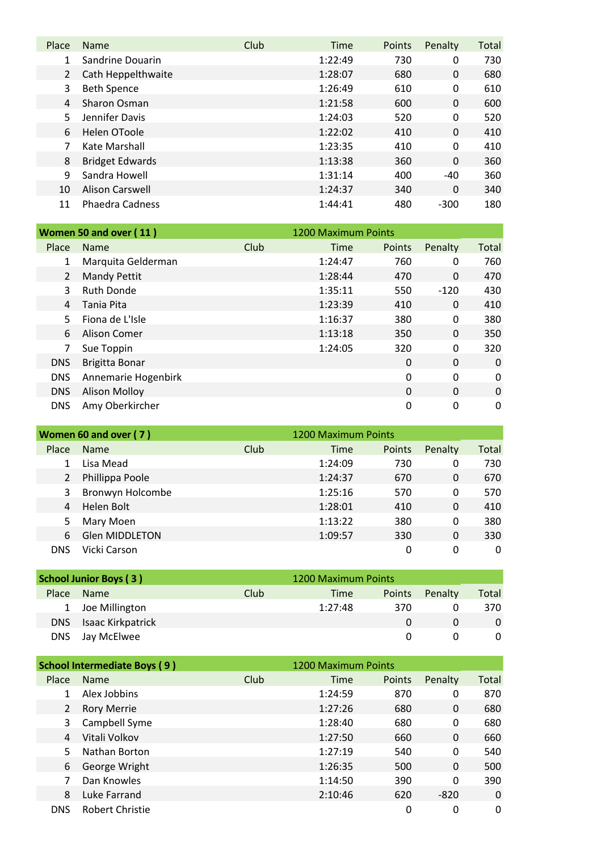| Place          | <b>Name</b>            | Club | Time    | <b>Points</b> | Penalty      | Total |
|----------------|------------------------|------|---------|---------------|--------------|-------|
|                | Sandrine Douarin       |      | 1:22:49 | 730           | $\Omega$     | 730   |
| $\overline{2}$ | Cath Heppelthwaite     |      | 1:28:07 | 680           | $\mathbf{0}$ | 680   |
| 3              | <b>Beth Spence</b>     |      | 1:26:49 | 610           | 0            | 610   |
| 4              | Sharon Osman           |      | 1:21:58 | 600           | $\Omega$     | 600   |
|                | Jennifer Davis         |      | 1:24:03 | 520           | 0            | 520   |
| 6              | Helen OToole           |      | 1:22:02 | 410           | $\mathbf{0}$ | 410   |
|                | Kate Marshall          |      | 1:23:35 | 410           | 0            | 410   |
| 8              | <b>Bridget Edwards</b> |      | 1:13:38 | 360           | $\mathbf{0}$ | 360   |
| q              | Sandra Howell          |      | 1:31:14 | 400           | $-40$        | 360   |
| 10             | Alison Carswell        |      | 1:24:37 | 340           | $\mathbf{0}$ | 340   |
| 11             | <b>Phaedra Cadness</b> |      | 1:44:41 | 480           | $-300$       | 180   |

|                | Women 50 and over (11) |      | 1200 Maximum Points |          |          |       |
|----------------|------------------------|------|---------------------|----------|----------|-------|
| Place          | Name                   | Club | Time                | Points   | Penalty  | Total |
|                | Marquita Gelderman     |      | 1:24:47             | 760      | 0        | 760   |
| $\overline{2}$ | <b>Mandy Pettit</b>    |      | 1:28:44             | 470      | 0        | 470   |
| 3              | <b>Ruth Donde</b>      |      | 1:35:11             | 550      | $-120$   | 430   |
| 4              | Tania Pita             |      | 1:23:39             | 410      | $\Omega$ | 410   |
| 5.             | Fiona de L'Isle        |      | 1:16:37             | 380      | 0        | 380   |
| 6              | Alison Comer           |      | 1:13:18             | 350      | 0        | 350   |
| 7              | Sue Toppin             |      | 1:24:05             | 320      | 0        | 320   |
| <b>DNS</b>     | Brigitta Bonar         |      |                     | 0        | 0        | 0     |
| <b>DNS</b>     | Annemarie Hogenbirk    |      |                     | 0        | 0        | 0     |
| <b>DNS</b>     | <b>Alison Molloy</b>   |      |                     | $\Omega$ | $\Omega$ | 0     |
| <b>DNS</b>     | Amy Oberkircher        |      |                     | 0        | 0        | 0     |

| Women 60 and over (7)<br>1200 Maximum Points |                       |      |         |        |              |       |
|----------------------------------------------|-----------------------|------|---------|--------|--------------|-------|
| Place                                        | <b>Name</b>           | Club | Time    | Points | Penalty      | Total |
|                                              | Lisa Mead             |      | 1:24:09 | 730    | 0            | 730   |
| 2                                            | Phillippa Poole       |      | 1:24:37 | 670    | 0            | 670   |
| 3                                            | Bronwyn Holcombe      |      | 1:25:16 | 570    | 0            | 570   |
| 4                                            | Helen Bolt            |      | 1:28:01 | 410    | $\mathbf 0$  | 410   |
| 5                                            | Mary Moen             |      | 1:13:22 | 380    | 0            | 380   |
| 6                                            | <b>Glen MIDDLETON</b> |      | 1:09:57 | 330    | $\mathbf{0}$ | 330   |
| <b>DNS</b>                                   | Vicki Carson          |      |         | 0      | 0            | 0     |

| <b>School Junior Boys (3)</b> |                              |      | 1200 Maximum Points |               |         |       |
|-------------------------------|------------------------------|------|---------------------|---------------|---------|-------|
| Place.                        | <b>Name</b>                  | Club | Time                | <b>Points</b> | Penalty | Total |
|                               | 1 Joe Millington             |      | 1:27:48             | 370           |         | 370   |
|                               | <b>DNS</b> Isaac Kirkpatrick |      |                     |               |         | 0     |
| DNS                           | Jay McElwee                  |      |                     |               |         |       |

|            | <b>School Intermediate Boys (9)</b> |      | 1200 Maximum Points |               |              |       |
|------------|-------------------------------------|------|---------------------|---------------|--------------|-------|
| Place      | <b>Name</b>                         | Club | Time                | <b>Points</b> | Penalty      | Total |
|            | Alex Jobbins                        |      | 1:24:59             | 870           | 0            | 870   |
| 2          | <b>Rory Merrie</b>                  |      | 1:27:26             | 680           | $\mathbf{0}$ | 680   |
| 3          | Campbell Syme                       |      | 1:28:40             | 680           | 0            | 680   |
| 4          | Vitali Volkov                       |      | 1:27:50             | 660           | $\mathbf{0}$ | 660   |
| 5          | Nathan Borton                       |      | 1:27:19             | 540           | 0            | 540   |
| 6          | George Wright                       |      | 1:26:35             | 500           | $\mathbf{0}$ | 500   |
|            | Dan Knowles                         |      | 1:14:50             | 390           | 0            | 390   |
| 8          | Luke Farrand                        |      | 2:10:46             | 620           | $-820$       | 0     |
| <b>DNS</b> | <b>Robert Christie</b>              |      |                     | 0             | 0            | 0     |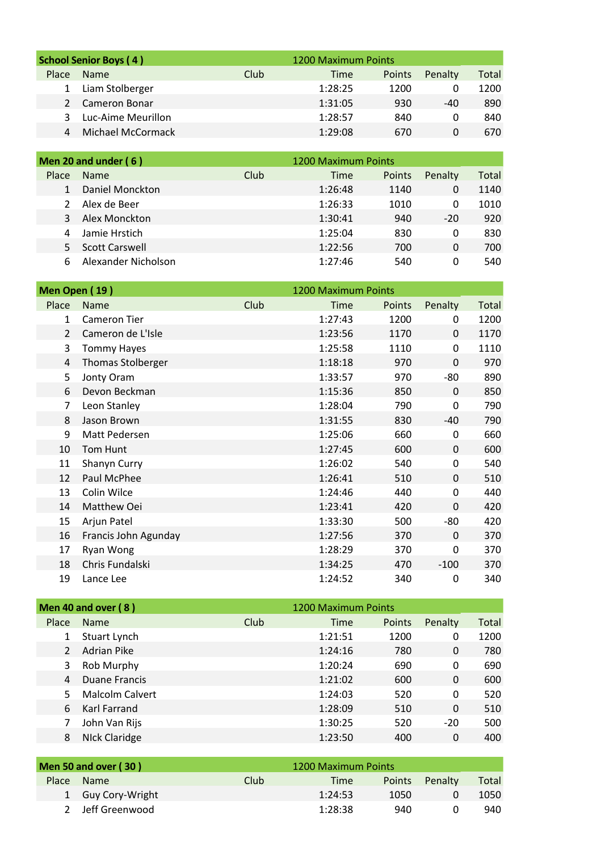| <b>School Senior Boys (4)</b> |                    |      | 1200 Maximum Points |               |         |       |
|-------------------------------|--------------------|------|---------------------|---------------|---------|-------|
| Place                         | <b>Name</b>        | Club | Time                | <b>Points</b> | Penalty | Total |
|                               | Liam Stolberger    |      | 1:28:25             | 1200          |         | 1200  |
| $\mathcal{L}$                 | Cameron Bonar      |      | 1:31:05             | 930           | -40     | 890   |
|                               | Luc-Aime Meurillon |      | 1:28:57             | 840           |         | 840   |
| 4                             | Michael McCormack  |      | 1:29:08             | 670           |         | 670   |

| Men 20 and under (6) |                     |      | 1200 Maximum Points |               |          |       |
|----------------------|---------------------|------|---------------------|---------------|----------|-------|
| Place                | <b>Name</b>         | Club | Time                | <b>Points</b> | Penalty  | Total |
|                      | Daniel Monckton     |      | 1:26:48             | 1140          | 0        | 1140  |
|                      | Alex de Beer        |      | 1:26:33             | 1010          | $\Omega$ | 1010  |
|                      | Alex Monckton       |      | 1:30:41             | 940           | $-20$    | 920   |
| 4                    | Jamie Hrstich       |      | 1:25:04             | 830           | 0        | 830   |
| 5.                   | Scott Carswell      |      | 1:22:56             | 700           | $\Omega$ | 700   |
| 6                    | Alexander Nicholson |      | 1:27:46             | 540           |          | 540   |

|                | Men Open (19)            |      | 1200 Maximum Points |               |              |       |
|----------------|--------------------------|------|---------------------|---------------|--------------|-------|
| Place          | Name                     | Club | Time                | <b>Points</b> | Penalty      | Total |
| 1              | <b>Cameron Tier</b>      |      | 1:27:43             | 1200          | 0            | 1200  |
| $\overline{2}$ | Cameron de L'Isle        |      | 1:23:56             | 1170          | $\Omega$     | 1170  |
| 3              | <b>Tommy Hayes</b>       |      | 1:25:58             | 1110          | $\mathbf{0}$ | 1110  |
| 4              | <b>Thomas Stolberger</b> |      | 1:18:18             | 970           | $\Omega$     | 970   |
| 5              | Jonty Oram               |      | 1:33:57             | 970           | $-80$        | 890   |
| 6              | Devon Beckman            |      | 1:15:36             | 850           | $\Omega$     | 850   |
| 7              | Leon Stanley             |      | 1:28:04             | 790           | 0            | 790   |
| 8              | Jason Brown              |      | 1:31:55             | 830           | $-40$        | 790   |
| 9              | Matt Pedersen            |      | 1:25:06             | 660           | $\mathbf{0}$ | 660   |
| 10             | Tom Hunt                 |      | 1:27:45             | 600           | $\Omega$     | 600   |
| 11             | Shanyn Curry             |      | 1:26:02             | 540           | 0            | 540   |
| 12             | Paul McPhee              |      | 1:26:41             | 510           | $\mathbf{0}$ | 510   |
| 13             | Colin Wilce              |      | 1:24:46             | 440           | 0            | 440   |
| 14             | Matthew Oei              |      | 1:23:41             | 420           | $\Omega$     | 420   |
| 15             | Arjun Patel              |      | 1:33:30             | 500           | -80          | 420   |
| 16             | Francis John Agunday     |      | 1:27:56             | 370           | $\Omega$     | 370   |
| 17             | Ryan Wong                |      | 1:28:29             | 370           | 0            | 370   |
| 18             | Chris Fundalski          |      | 1:34:25             | 470           | $-100$       | 370   |
| 19             | Lance Lee                |      | 1:24:52             | 340           | 0            | 340   |

|       | Men 40 and over (8)    |             | 1200 Maximum Points |               |              |       |
|-------|------------------------|-------------|---------------------|---------------|--------------|-------|
| Place | <b>Name</b>            | <b>Club</b> | Time                | <b>Points</b> | Penalty      | Total |
|       | Stuart Lynch           |             | 1:21:51             | 1200          | 0            | 1200  |
|       | <b>Adrian Pike</b>     |             | 1:24:16             | 780           | 0            | 780   |
| 3     | Rob Murphy             |             | 1:20:24             | 690           | 0            | 690   |
| 4     | Duane Francis          |             | 1:21:02             | 600           | $\mathbf{0}$ | 600   |
| 5     | <b>Malcolm Calvert</b> |             | 1:24:03             | 520           | 0            | 520   |
| 6     | Karl Farrand           |             | 1:28:09             | 510           | $\mathbf{0}$ | 510   |
|       | John Van Rijs          |             | 1:30:25             | 520           | $-20$        | 500   |
| 8     | <b>NIck Claridge</b>   |             | 1:23:50             | 400           | $\mathbf{0}$ | 400   |

| Men 50 and over (30) |                   | 1200 Maximum Points |         |               |         |       |
|----------------------|-------------------|---------------------|---------|---------------|---------|-------|
| Place                | Name.             | Club                | Time    | <b>Points</b> | Penalty | Total |
|                      | 1 Guy Cory-Wright |                     | 1:24:53 | 1050          |         | 1050  |
|                      | Jeff Greenwood    |                     | 1:28:38 | 940           |         | 940   |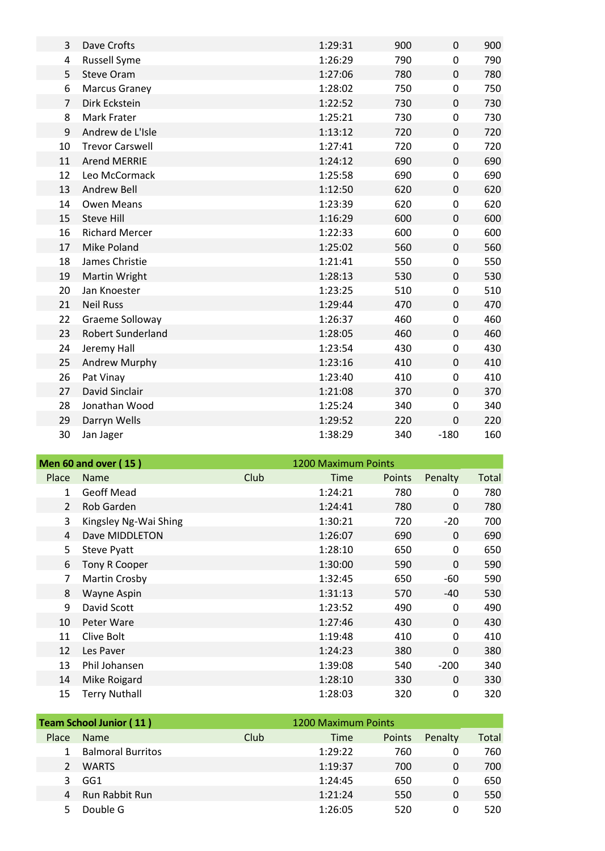|                          | 1:29:31     | 900 | 0           | 900 |
|--------------------------|-------------|-----|-------------|-----|
| <b>Russell Syme</b>      | 1:26:29     | 790 | 0           | 790 |
| <b>Steve Oram</b>        | 1:27:06     | 780 | $\mathbf 0$ | 780 |
| <b>Marcus Graney</b>     | 1:28:02     | 750 | 0           | 750 |
| Dirk Eckstein            | 1:22:52     | 730 | $\mathbf 0$ | 730 |
| Mark Frater              | 1:25:21     | 730 | 0           | 730 |
| Andrew de L'Isle         | 1:13:12     | 720 | $\mathbf 0$ | 720 |
| <b>Trevor Carswell</b>   | 1:27:41     | 720 | 0           | 720 |
| <b>Arend MERRIE</b>      | 1:24:12     | 690 | $\mathbf 0$ | 690 |
| Leo McCormack            | 1:25:58     | 690 | 0           | 690 |
| <b>Andrew Bell</b>       | 1:12:50     | 620 | $\mathbf 0$ | 620 |
| <b>Owen Means</b>        | 1:23:39     | 620 | 0           | 620 |
| <b>Steve Hill</b>        | 1:16:29     | 600 | $\mathbf 0$ | 600 |
| <b>Richard Mercer</b>    | 1:22:33     | 600 | 0           | 600 |
| 17<br><b>Mike Poland</b> | 1:25:02     | 560 | $\mathbf 0$ | 560 |
| James Christie           | 1:21:41     | 550 | 0           | 550 |
| 19<br>Martin Wright      | 1:28:13     | 530 | $\mathbf 0$ | 530 |
| Jan Knoester             | 1:23:25     | 510 | $\pmb{0}$   | 510 |
| <b>Neil Russ</b>         | 1:29:44     | 470 | $\mathbf 0$ | 470 |
| Graeme Solloway          | 1:26:37     | 460 | 0           | 460 |
| <b>Robert Sunderland</b> | 1:28:05     | 460 | $\mathbf 0$ | 460 |
| Jeremy Hall              | 1:23:54     | 430 | 0           | 430 |
| <b>Andrew Murphy</b>     | 1:23:16     | 410 | $\mathbf 0$ | 410 |
| Pat Vinay                | 1:23:40     | 410 | $\pmb{0}$   | 410 |
| David Sinclair           | 1:21:08     | 370 | 0           | 370 |
| 28<br>Jonathan Wood      | 1:25:24     | 340 | $\pmb{0}$   | 340 |
| Darryn Wells             | 1:29:52     | 220 | $\Omega$    | 220 |
| Jan Jager                | 1:38:29     | 340 | $-180$      | 160 |
|                          | Dave Crofts |     |             |     |

|                | <b>Men 60 and over (15)</b> |      | 1200 Maximum Points |        |              |       |
|----------------|-----------------------------|------|---------------------|--------|--------------|-------|
| Place          | <b>Name</b>                 | Club | Time                | Points | Penalty      | Total |
| 1              | <b>Geoff Mead</b>           |      | 1:24:21             | 780    | 0            | 780   |
| $\overline{2}$ | Rob Garden                  |      | 1:24:41             | 780    | $\mathbf{0}$ | 780   |
| 3              | Kingsley Ng-Wai Shing       |      | 1:30:21             | 720    | $-20$        | 700   |
| 4              | Dave MIDDLETON              |      | 1:26:07             | 690    | $\mathbf{0}$ | 690   |
| 5              | <b>Steve Pyatt</b>          |      | 1:28:10             | 650    | $\mathbf{0}$ | 650   |
| 6              | Tony R Cooper               |      | 1:30:00             | 590    | 0            | 590   |
| 7              | Martin Crosby               |      | 1:32:45             | 650    | -60          | 590   |
| 8              | Wayne Aspin                 |      | 1:31:13             | 570    | $-40$        | 530   |
| 9              | David Scott                 |      | 1:23:52             | 490    | 0            | 490   |
| 10             | Peter Ware                  |      | 1:27:46             | 430    | $\mathbf{0}$ | 430   |
| 11             | Clive Bolt                  |      | 1:19:48             | 410    | 0            | 410   |
| 12             | Les Paver                   |      | 1:24:23             | 380    | 0            | 380   |
| 13             | Phil Johansen               |      | 1:39:08             | 540    | $-200$       | 340   |
| 14             | Mike Roigard                |      | 1:28:10             | 330    | 0            | 330   |
| 15             | <b>Terry Nuthall</b>        |      | 1:28:03             | 320    | 0            | 320   |

| <b>Team School Junior (11)</b> |                          |      | 1200 Maximum Points |               |         |       |
|--------------------------------|--------------------------|------|---------------------|---------------|---------|-------|
| Place                          | <b>Name</b>              | Club | Time                | <b>Points</b> | Penalty | Total |
|                                | <b>Balmoral Burritos</b> |      | 1:29:22             | 760           |         | 760   |
|                                | <b>WARTS</b>             |      | 1:19:37             | 700           | 0       | 700   |
|                                | GG1                      |      | 1:24:45             | 650           |         | 650   |
| 4                              | Run Rabbit Run           |      | 1:21:24             | 550           | 0       | 550   |
|                                | Double G                 |      | 1:26:05             | 520           |         | 520   |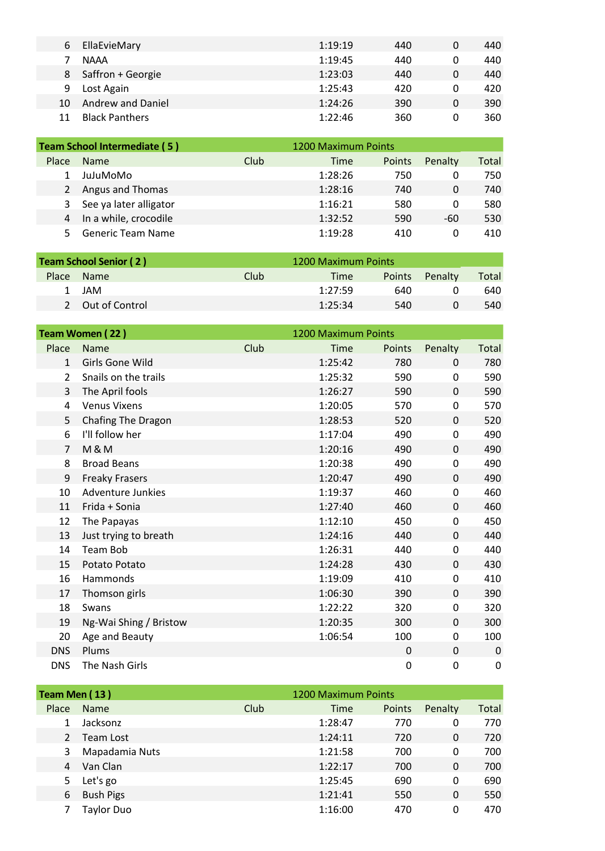| 6  | EllaEvieMary          | 1:19:19 | 440 | 0 | 440 |
|----|-----------------------|---------|-----|---|-----|
|    | <b>NAAA</b>           | 1:19:45 | 440 | 0 | 440 |
| 8  | Saffron + Georgie     | 1:23:03 | 440 | 0 | 440 |
| 9  | Lost Again            | 1:25:43 | 420 | 0 | 420 |
| 10 | Andrew and Daniel     | 1:24:26 | 390 | 0 | 390 |
|    | <b>Black Panthers</b> | 1:22:46 | 360 | 0 | 360 |

|                | <b>Team School Intermediate (5)</b> |      | 1200 Maximum Points |               |          |       |
|----------------|-------------------------------------|------|---------------------|---------------|----------|-------|
| Place          | <b>Name</b>                         | Club | Time                | <b>Points</b> | Penalty  | Total |
|                | JuJuMoMo                            |      | 1:28:26             | 750           | $\Omega$ | 750   |
| 2              | Angus and Thomas                    |      | 1:28:16             | 740           | 0        | 740   |
| 3              | See ya later alligator              |      | 1:16:21             | 580           | 0        | 580   |
| $\overline{4}$ | In a while, crocodile               |      | 1:32:52             | 590           | -60      | 530   |
| -5.            | <b>Generic Team Name</b>            |      | 1:19:28             | 410           | O        | 410   |

| <b>Team School Senior (2)</b> |                  |      | 1200 Maximum Points |               |         |       |
|-------------------------------|------------------|------|---------------------|---------------|---------|-------|
| Place                         | <b>Name</b>      | Club | Time                | <b>Points</b> | Penalty | Total |
| 1                             | JAM              |      | 1:27:59             | 640           |         | 640   |
|                               | 2 Out of Control |      | 1:25:34             | 540           |         | 540   |

|                | Team Women (22)          |      | <b>1200 Maximum Points</b> |        |             |       |
|----------------|--------------------------|------|----------------------------|--------|-------------|-------|
| Place          | Name                     | Club | Time                       | Points | Penalty     | Total |
| 1              | Girls Gone Wild          |      | 1:25:42                    | 780    | $\Omega$    | 780   |
| $\overline{2}$ | Snails on the trails     |      | 1:25:32                    | 590    | 0           | 590   |
| 3              | The April fools          |      | 1:26:27                    | 590    | $\Omega$    | 590   |
| 4              | <b>Venus Vixens</b>      |      | 1:20:05                    | 570    | 0           | 570   |
| 5              | Chafing The Dragon       |      | 1:28:53                    | 520    | 0           | 520   |
| 6              | I'll follow her          |      | 1:17:04                    | 490    | 0           | 490   |
| $\overline{7}$ | M&M                      |      | 1:20:16                    | 490    | 0           | 490   |
| 8              | <b>Broad Beans</b>       |      | 1:20:38                    | 490    | 0           | 490   |
| 9              | <b>Freaky Frasers</b>    |      | 1:20:47                    | 490    | 0           | 490   |
| 10             | <b>Adventure Junkies</b> |      | 1:19:37                    | 460    | 0           | 460   |
| 11             | Frida + Sonia            |      | 1:27:40                    | 460    | $\Omega$    | 460   |
| 12             | The Papayas              |      | 1:12:10                    | 450    | 0           | 450   |
| 13             | Just trying to breath    |      | 1:24:16                    | 440    | $\mathbf 0$ | 440   |
| 14             | Team Bob                 |      | 1:26:31                    | 440    | 0           | 440   |
| 15             | Potato Potato            |      | 1:24:28                    | 430    | $\Omega$    | 430   |
| 16             | Hammonds                 |      | 1:19:09                    | 410    | 0           | 410   |
| 17             | Thomson girls            |      | 1:06:30                    | 390    | 0           | 390   |
| 18             | Swans                    |      | 1:22:22                    | 320    | 0           | 320   |
| 19             | Ng-Wai Shing / Bristow   |      | 1:20:35                    | 300    | 0           | 300   |
| 20             | Age and Beauty           |      | 1:06:54                    | 100    | 0           | 100   |
| <b>DNS</b>     | Plums                    |      |                            | 0      | 0           | 0     |
| <b>DNS</b>     | The Nash Girls           |      |                            | 0      | 0           | 0     |

| Team Men (13) |                  |      | 1200 Maximum Points |        |         |       |
|---------------|------------------|------|---------------------|--------|---------|-------|
| Place         | <b>Name</b>      | Club | <b>Time</b>         | Points | Penalty | Total |
| 1             | Jacksonz         |      | 1:28:47             | 770    | 0       | 770   |
| 2             | Team Lost        |      | 1:24:11             | 720    | 0       | 720   |
| 3             | Mapadamia Nuts   |      | 1:21:58             | 700    | 0       | 700   |
| 4             | Van Clan         |      | 1:22:17             | 700    | 0       | 700   |
| 5.            | Let's go         |      | 1:25:45             | 690    | 0       | 690   |
| 6             | <b>Bush Pigs</b> |      | 1:21:41             | 550    | 0       | 550   |
|               | Taylor Duo       |      | 1:16:00             | 470    | 0       | 470   |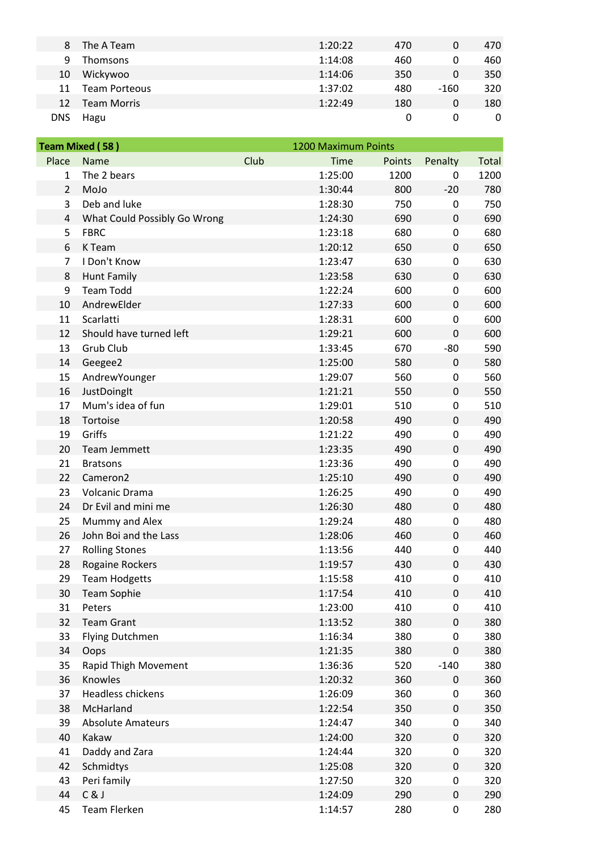| 8          | The A Team           | 1:20:22 | 470      | 0      | 470 |
|------------|----------------------|---------|----------|--------|-----|
| 9          | Thomsons             | 1:14:08 | 460      |        | 460 |
| 10         | Wickywoo             | 1:14:06 | 350      | 0      | 350 |
| 11         | <b>Team Porteous</b> | 1:37:02 | 480      | $-160$ | 320 |
| 12         | <b>Team Morris</b>   | 1:22:49 | 180      | 0      | 180 |
| <b>DNS</b> | Hagu                 |         | $\Omega$ | 0      | O   |

| <b>Team Mixed (58)</b> |                              | <b>1200 Maximum Points</b> |             |        |             |       |
|------------------------|------------------------------|----------------------------|-------------|--------|-------------|-------|
| Place                  | Name                         | Club                       | <b>Time</b> | Points | Penalty     | Total |
| 1                      | The 2 bears                  |                            | 1:25:00     | 1200   | 0           | 1200  |
| $\overline{2}$         | MoJo                         |                            | 1:30:44     | 800    | $-20$       | 780   |
| 3                      | Deb and luke                 |                            | 1:28:30     | 750    | 0           | 750   |
| 4                      | What Could Possibly Go Wrong |                            | 1:24:30     | 690    | 0           | 690   |
| 5                      | <b>FBRC</b>                  |                            | 1:23:18     | 680    | 0           | 680   |
| 6                      | K Team                       |                            | 1:20:12     | 650    | $\mathbf 0$ | 650   |
| 7                      | I Don't Know                 |                            | 1:23:47     | 630    | 0           | 630   |
| 8                      | <b>Hunt Family</b>           |                            | 1:23:58     | 630    | $\mathbf 0$ | 630   |
| 9                      | <b>Team Todd</b>             |                            | 1:22:24     | 600    | 0           | 600   |
| 10                     | AndrewElder                  |                            | 1:27:33     | 600    | 0           | 600   |
| 11                     | Scarlatti                    |                            | 1:28:31     | 600    | 0           | 600   |
| 12                     | Should have turned left      |                            | 1:29:21     | 600    | 0           | 600   |
| 13                     | Grub Club                    |                            | 1:33:45     | 670    | $-80$       | 590   |
| 14                     | Geegee2                      |                            | 1:25:00     | 580    | $\mathbf 0$ | 580   |
| 15                     | AndrewYounger                |                            | 1:29:07     | 560    | 0           | 560   |
| 16                     | JustDoingIt                  |                            | 1:21:21     | 550    | $\mathbf 0$ | 550   |
| 17                     | Mum's idea of fun            |                            | 1:29:01     | 510    | 0           | 510   |
| 18                     | Tortoise                     |                            | 1:20:58     | 490    | 0           | 490   |
| 19                     | Griffs                       |                            | 1:21:22     | 490    | 0           | 490   |
| 20                     | Team Jemmett                 |                            | 1:23:35     | 490    | 0           | 490   |
| 21                     | <b>Bratsons</b>              |                            | 1:23:36     | 490    | 0           | 490   |
| 22                     | Cameron <sub>2</sub>         |                            | 1:25:10     | 490    | $\pmb{0}$   | 490   |
| 23                     | Volcanic Drama               |                            | 1:26:25     | 490    | 0           | 490   |
| 24                     | Dr Evil and mini me          |                            | 1:26:30     | 480    | $\mathbf 0$ | 480   |
| 25                     | Mummy and Alex               |                            | 1:29:24     | 480    | 0           | 480   |
| 26                     | John Boi and the Lass        |                            | 1:28:06     | 460    | 0           | 460   |
| 27                     | <b>Rolling Stones</b>        |                            | 1:13:56     | 440    | 0           | 440   |
| 28                     | Rogaine Rockers              |                            | 1:19:57     | 430    | $\pmb{0}$   | 430   |
| 29                     | <b>Team Hodgetts</b>         |                            | 1:15:58     | 410    | 0           | 410   |
| 30                     | Team Sophie                  |                            | 1:17:54     | 410    | 0           | 410   |
| 31                     | Peters                       |                            | 1:23:00     | 410    | 0           | 410   |
| 32                     | <b>Team Grant</b>            |                            | 1:13:52     | 380    | 0           | 380   |
| 33                     | <b>Flying Dutchmen</b>       |                            | 1:16:34     | 380    | 0           | 380   |
| 34                     | Oops                         |                            | 1:21:35     | 380    | 0           | 380   |
| 35                     | <b>Rapid Thigh Movement</b>  |                            | 1:36:36     | 520    | $-140$      | 380   |
| 36                     | Knowles                      |                            | 1:20:32     | 360    | $\pmb{0}$   | 360   |
| 37                     | Headless chickens            |                            | 1:26:09     | 360    | 0           | 360   |
| 38                     | McHarland                    |                            | 1:22:54     | 350    | 0           | 350   |
| 39                     | <b>Absolute Amateurs</b>     |                            | 1:24:47     | 340    | 0           | 340   |
| 40                     | Kakaw                        |                            | 1:24:00     | 320    | $\pmb{0}$   | 320   |
| 41                     | Daddy and Zara               |                            | 1:24:44     | 320    | 0           | 320   |
| 42                     | Schmidtys                    |                            | 1:25:08     | 320    | 0           | 320   |
| 43                     | Peri family                  |                            | 1:27:50     | 320    | 0           | 320   |
| 44                     | C&J                          |                            | 1:24:09     | 290    | $\pmb{0}$   | 290   |
| 45                     | Team Flerken                 |                            | 1:14:57     | 280    | 0           | 280   |